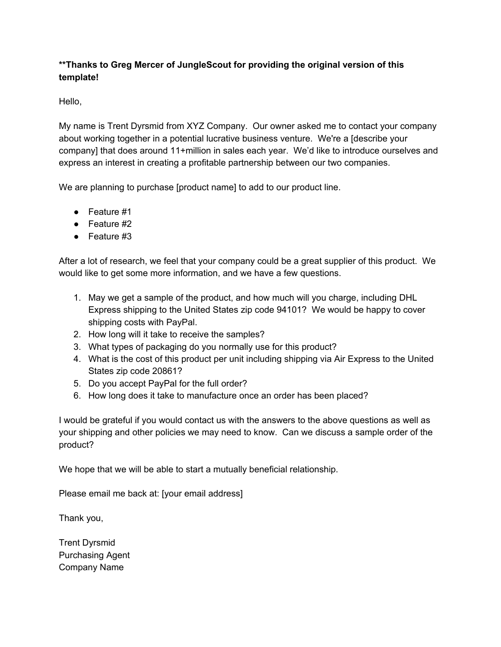## **\*\*Thanks to Greg Mercer of JungleScout for providing the original version of this template!**

Hello,

My name is Trent Dyrsmid from XYZ Company. Our owner asked me to contact your company about working together in a potential lucrative business venture. We're a [describe your company] that does around 11+million in sales each year. We'd like to introduce ourselves and express an interest in creating a profitable partnership between our two companies.

We are planning to purchase [product name] to add to our product line.

- Feature #1
- Feature #2
- Feature #3

After a lot of research, we feel that your company could be a great supplier of this product. We would like to get some more information, and we have a few questions.

- 1. May we get a sample of the product, and how much will you charge, including DHL Express shipping to the United States zip code 94101? We would be happy to cover shipping costs with PayPal.
- 2. How long will it take to receive the samples?
- 3. What types of packaging do you normally use for this product?
- 4. What is the cost of this product per unit including shipping via Air Express to the United States zip code 20861?
- 5. Do you accept PayPal for the full order?
- 6. How long does it take to manufacture once an order has been placed?

I would be grateful if you would contact us with the answers to the above questions as well as your shipping and other policies we may need to know. Can we discuss a sample order of the product?

We hope that we will be able to start a mutually beneficial relationship.

Please email me back at: [your email address]

Thank you,

Trent Dyrsmid Purchasing Agent Company Name